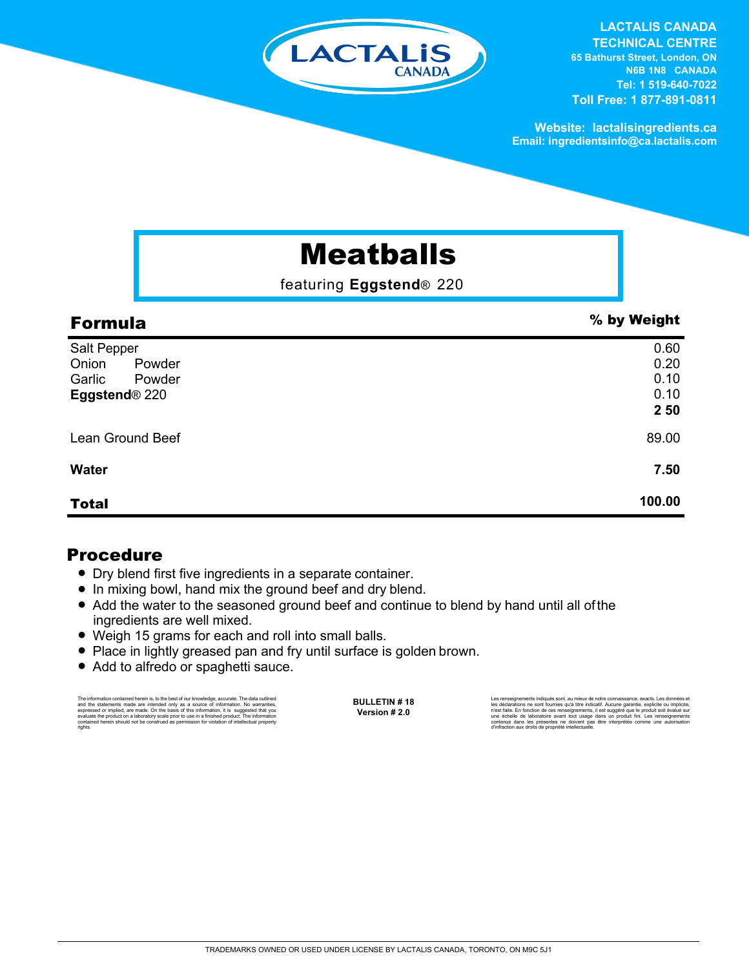

**LACTALIS CANADA TECHNICAL CENTRE 65 Bathurst Street, London, ON N6B 1N8 CANADA Tel: 1 519-640-7022 Toll Free: 1 877-891-0811**

**Website: lactalisingredients.ca Email: ingredientsinfo@ca.lactalis.com**

## Meatballs

featuring **Eggstend**® 220

| <b>Formula</b>            | % by Weight |
|---------------------------|-------------|
| Salt Pepper               | 0.60        |
| Onion<br>Powder           | 0.20        |
| Garlic<br>Powder          | 0.10        |
| Eggstend <sup>®</sup> 220 | 0.10        |
|                           | 2 50        |
| Lean Ground Beef          | 89.00       |
| <b>Water</b>              | 7.50        |
| <b>Total</b>              | 100.00      |

## Procedure

- Dry blend first five ingredients in a separate container.
- In mixing bowl, hand mix the ground beef and dry blend.
- Add the water to the seasoned ground beef and continue to blend by hand until all of the ingredients are well mixed.
- Weigh 15 grams for each and roll into small balls.
- Place in lightly greased pan and fry until surface is golden brown.
- Add to alfredo or spaghetti sauce.

The information contained herein is, to the best of our knowledge, accurate. The data cutlined the statements made are intended only as a source of information. No warranties, expressed or implied, are made. On the basis o

**BULLETIN # 18 Version # 2.0**

Les renseignements indiqués sont, au mieux de notre connaissance, exacts. Les données et<br>les déclarations ne sont fournies qu'à titre indicatif. Aucune garantie, explicite ou implicite,<br>riest faite. En fonction de ces rens